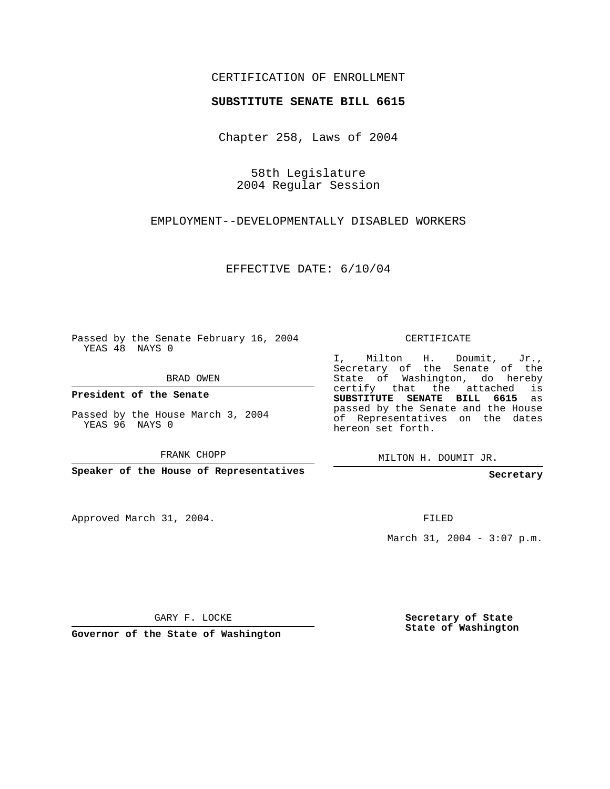## CERTIFICATION OF ENROLLMENT

## **SUBSTITUTE SENATE BILL 6615**

Chapter 258, Laws of 2004

58th Legislature 2004 Regular Session

EMPLOYMENT--DEVELOPMENTALLY DISABLED WORKERS

EFFECTIVE DATE: 6/10/04

Passed by the Senate February 16, 2004 YEAS 48 NAYS 0

BRAD OWEN

**President of the Senate**

Passed by the House March 3, 2004 YEAS 96 NAYS 0

FRANK CHOPP

**Speaker of the House of Representatives**

Approved March 31, 2004.

CERTIFICATE

I, Milton H. Doumit, Jr., Secretary of the Senate of the State of Washington, do hereby certify that the attached is **SUBSTITUTE SENATE BILL 6615** as passed by the Senate and the House of Representatives on the dates hereon set forth.

MILTON H. DOUMIT JR.

**Secretary**

FILED

March 31, 2004 - 3:07 p.m.

GARY F. LOCKE

**Governor of the State of Washington**

**Secretary of State State of Washington**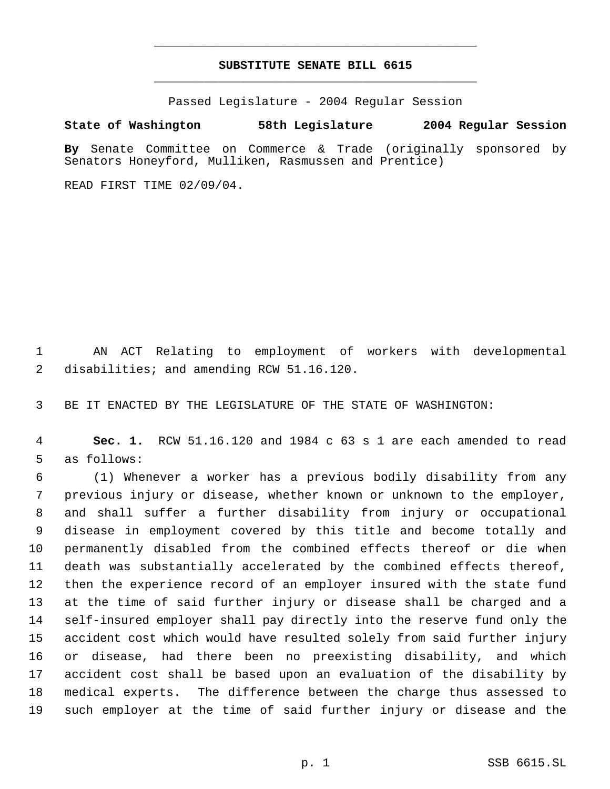## **SUBSTITUTE SENATE BILL 6615** \_\_\_\_\_\_\_\_\_\_\_\_\_\_\_\_\_\_\_\_\_\_\_\_\_\_\_\_\_\_\_\_\_\_\_\_\_\_\_\_\_\_\_\_\_

\_\_\_\_\_\_\_\_\_\_\_\_\_\_\_\_\_\_\_\_\_\_\_\_\_\_\_\_\_\_\_\_\_\_\_\_\_\_\_\_\_\_\_\_\_

Passed Legislature - 2004 Regular Session

## **State of Washington 58th Legislature 2004 Regular Session**

**By** Senate Committee on Commerce & Trade (originally sponsored by Senators Honeyford, Mulliken, Rasmussen and Prentice)

READ FIRST TIME 02/09/04.

 AN ACT Relating to employment of workers with developmental disabilities; and amending RCW 51.16.120.

BE IT ENACTED BY THE LEGISLATURE OF THE STATE OF WASHINGTON:

 **Sec. 1.** RCW 51.16.120 and 1984 c 63 s 1 are each amended to read as follows:

 (1) Whenever a worker has a previous bodily disability from any previous injury or disease, whether known or unknown to the employer, and shall suffer a further disability from injury or occupational disease in employment covered by this title and become totally and permanently disabled from the combined effects thereof or die when death was substantially accelerated by the combined effects thereof, then the experience record of an employer insured with the state fund at the time of said further injury or disease shall be charged and a self-insured employer shall pay directly into the reserve fund only the accident cost which would have resulted solely from said further injury or disease, had there been no preexisting disability, and which accident cost shall be based upon an evaluation of the disability by medical experts. The difference between the charge thus assessed to such employer at the time of said further injury or disease and the